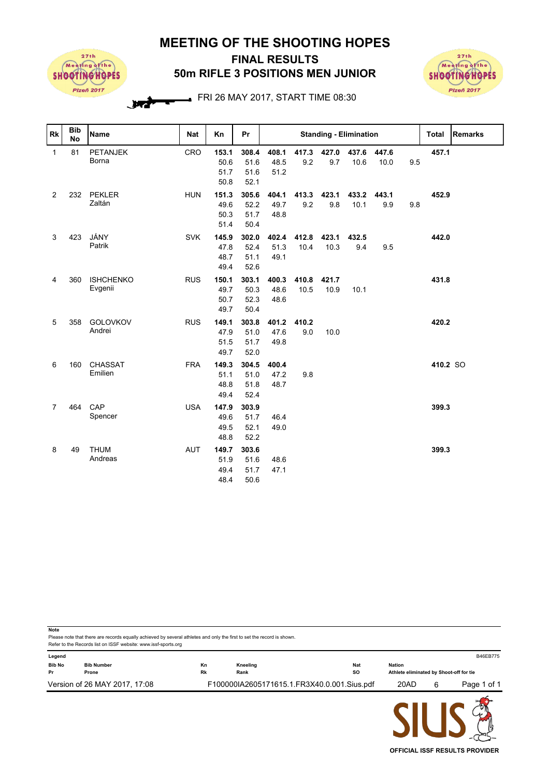## **MEETING OF THE SHOOTING HOPES**



## **50m RIFLE 3 POSITIONS MEN JUNIOR FINAL RESULTS**



FRI 26 MAY 2017, START TIME 08:30

| Rk             | <b>Bib</b><br><b>No</b> | <b>Name</b>                 | <b>Nat</b> | Kn                            | Pr                            | <b>Standing - Elimination</b> |               |                          |               |               |     | Total    | <b>Remarks</b> |
|----------------|-------------------------|-----------------------------|------------|-------------------------------|-------------------------------|-------------------------------|---------------|--------------------------|---------------|---------------|-----|----------|----------------|
| $\mathbf{1}$   | 81                      | <b>PETANJEK</b><br>Borna    | CRO        | 153.1<br>50.6<br>51.7<br>50.8 | 308.4<br>51.6<br>51.6<br>52.1 | 408.1<br>48.5<br>51.2         | 9.2           | 417.3 427.0 437.6<br>9.7 | 10.6          | 447.6<br>10.0 | 9.5 | 457.1    |                |
| $\overline{2}$ | 232                     | <b>PEKLER</b><br>Zaltán     | <b>HUN</b> | 151.3<br>49.6<br>50.3<br>51.4 | 305.6<br>52.2<br>51.7<br>50.4 | 404.1<br>49.7<br>48.8         | 413.3<br>9.2  | 423.1<br>9.8             | 433.2<br>10.1 | 443.1<br>9.9  | 9.8 | 452.9    |                |
| 3              | 423                     | JÁNY<br>Patrik              | <b>SVK</b> | 145.9<br>47.8<br>48.7<br>49.4 | 302.0<br>52.4<br>51.1<br>52.6 | 402.4<br>51.3<br>49.1         | 412.8<br>10.4 | 423.1<br>10.3            | 432.5<br>9.4  | 9.5           |     | 442.0    |                |
| 4              | 360                     | <b>ISHCHENKO</b><br>Evgenii | <b>RUS</b> | 150.1<br>49.7<br>50.7<br>49.7 | 303.1<br>50.3<br>52.3<br>50.4 | 400.3<br>48.6<br>48.6         | 410.8<br>10.5 | 421.7<br>10.9            | 10.1          |               |     | 431.8    |                |
| 5              | 358                     | <b>GOLOVKOV</b><br>Andrei   | <b>RUS</b> | 149.1<br>47.9<br>51.5<br>49.7 | 303.8<br>51.0<br>51.7<br>52.0 | 401.2<br>47.6<br>49.8         | 410.2<br>9.0  | 10.0                     |               |               |     | 420.2    |                |
| 6              | 160                     | CHASSAT<br>Emilien          | <b>FRA</b> | 149.3<br>51.1<br>48.8<br>49.4 | 304.5<br>51.0<br>51.8<br>52.4 | 400.4<br>47.2<br>48.7         | 9.8           |                          |               |               |     | 410.2 SO |                |
| $\overline{7}$ | 464                     | CAP<br>Spencer              | <b>USA</b> | 147.9<br>49.6<br>49.5<br>48.8 | 303.9<br>51.7<br>52.1<br>52.2 | 46.4<br>49.0                  |               |                          |               |               |     | 399.3    |                |
| 8              | 49                      | <b>THUM</b><br>Andreas      | <b>AUT</b> | 149.7<br>51.9<br>49.4<br>48.4 | 303.6<br>51.6<br>51.7<br>50.6 | 48.6<br>47.1                  |               |                          |               |               |     | 399.3    |                |

Please note that there are records equally achieved by several athletes and only the first to set the record is shown **Note** Refer to the Records list on ISSF website: www.issf-sports.org **Legend** B46EB775 **Bib No Bib Number Kn Kneeling Nat Nation Pr Prone Rk Rank SO Athlete eliminated by Shoot-off for tie** Version of 26 MAY 2017, 17:08 F100000IA2605171615.1.FR3X40.0.001.Sius.pdf 20AD 6 Page 1 of 1

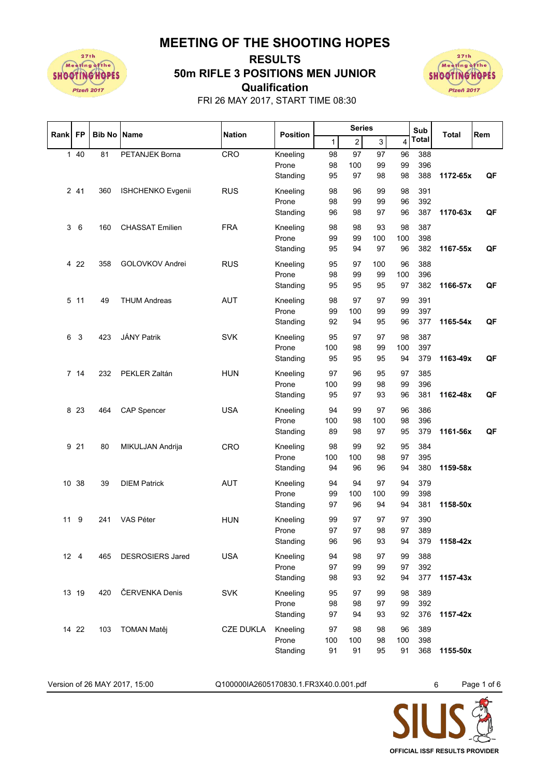**MEETING OF THE SHOOTING HOPES**



## **Qualification 50m RIFLE 3 POSITIONS MEN JUNIOR RESULTS**



FRI 26 MAY 2017, START TIME 08:30

| Rank | <b>FP</b>    | <b>Bib No Name</b> |                         | <b>Nation</b>    | <b>Position</b>   |          | <b>Series</b> |           |                | Sub          | Total    | Rem |
|------|--------------|--------------------|-------------------------|------------------|-------------------|----------|---------------|-----------|----------------|--------------|----------|-----|
|      |              |                    |                         |                  |                   | 1        | $2\vert$      | 3         | $\overline{4}$ | <b>Total</b> |          |     |
|      | 140          | 81                 | PETANJEK Borna          | CRO              | Kneeling          | 98       | 97            | 97        | 96             | 388          |          |     |
|      |              |                    |                         |                  | Prone             | 98       | 100           | 99        | 99             | 396          |          |     |
|      |              |                    |                         |                  | Standing          | 95       | 97            | 98        | 98             | 388          | 1172-65x | QF  |
|      | 2 41         | 360                | ISHCHENKO Evgenii       | <b>RUS</b>       | Kneeling          | 98       | 96            | 99        | 98             | 391          |          |     |
|      |              |                    |                         |                  | Prone             | 98       | 99            | 99        | 96             | 392          |          |     |
|      |              |                    |                         |                  | Standing          | 96       | 98            | 97        | 96             | 387          | 1170-63x | QF  |
| 3    | $\,6$        | 160                | <b>CHASSAT Emilien</b>  | <b>FRA</b>       | Kneeling          | 98       | 98            | 93        | 98             | 387          |          |     |
|      |              |                    |                         |                  | Prone             | 99       | 99            | 100       | 100            | 398          |          |     |
|      |              |                    |                         |                  | Standing          | 95       | 94            | 97        | 96             | 382          | 1167-55x | QF  |
|      |              |                    |                         |                  |                   |          |               |           | 96             | 388          |          |     |
|      | 4 2 2        | 358                | GOLOVKOV Andrei         | <b>RUS</b>       | Kneeling<br>Prone | 95<br>98 | 97<br>99      | 100<br>99 | 100            | 396          |          |     |
|      |              |                    |                         |                  | Standing          | 95       | 95            | 95        | 97             | 382          | 1166-57x | QF  |
|      |              |                    |                         |                  |                   |          |               |           |                |              |          |     |
|      | 5 11         | 49                 | <b>THUM Andreas</b>     | <b>AUT</b>       | Kneeling          | 98       | 97            | 97        | 99             | 391          |          |     |
|      |              |                    |                         |                  | Prone             | 99       | 100           | 99        | 99             | 397          |          |     |
|      |              |                    |                         |                  | Standing          | 92       | 94            | 95        | 96             | 377          | 1165-54x | QF  |
| 6    | 3            | 423                | <b>JÁNY Patrik</b>      | <b>SVK</b>       | Kneeling          | 95       | 97            | 97        | 98             | 387          |          |     |
|      |              |                    |                         |                  | Prone             | 100      | 98            | 99        | 100            | 397          |          |     |
|      |              |                    |                         |                  | Standing          | 95       | 95            | 95        | 94             | 379          | 1163-49x | QF  |
|      | 7 14         | 232                | PEKLER Zaltán           | <b>HUN</b>       | Kneeling          | 97       | 96            | 95        | 97             | 385          |          |     |
|      |              |                    |                         |                  | Prone             | 100      | 99            | 98        | 99             | 396          |          |     |
|      |              |                    |                         |                  | Standing          | 95       | 97            | 93        | 96             | 381          | 1162-48x | QF  |
|      | 8 2 3        | 464                | <b>CAP Spencer</b>      | <b>USA</b>       | Kneeling          | 94       | 99            | 97        | 96             | 386          |          |     |
|      |              |                    |                         |                  | Prone             | 100      | 98            | 100       | 98             | 396          |          |     |
|      |              |                    |                         |                  | Standing          | 89       | 98            | 97        | 95             | 379          | 1161-56x | QF  |
|      |              |                    |                         |                  |                   |          |               |           |                |              |          |     |
|      | 9 21         | 80                 | MIKULJAN Andrija        | CRO              | Kneeling          | 98       | 99            | 92        | 95             | 384          |          |     |
|      |              |                    |                         |                  | Prone             | 100      | 100           | 98        | 97             | 395          |          |     |
|      |              |                    |                         |                  | Standing          | 94       | 96            | 96        | 94             | 380          | 1159-58x |     |
|      | 10 38        | 39                 | <b>DIEM Patrick</b>     | <b>AUT</b>       | Kneeling          | 94       | 94            | 97        | 94             | 379          |          |     |
|      |              |                    |                         |                  | Prone             | 99       | 100           | 100       | 99             | 398          |          |     |
|      |              |                    |                         |                  | Standing          | 97       | 96            | 94        | 94             | 381          | 1158-50x |     |
| 11   | 9            | 241                | VAS Péter               | <b>HUN</b>       | Kneeling          | 99       | 97            | 97        | 97             | 390          |          |     |
|      |              |                    |                         |                  | Prone             | 97       | 97            | 98        | 97             | 389          |          |     |
|      |              |                    |                         |                  | Standing          | 96       | 96            | 93        | 94             | 379          | 1158-42x |     |
|      | $12 \quad 4$ | 465                | <b>DESROSIERS Jared</b> | <b>USA</b>       | Kneeling          | 94       | 98            | 97        | 99             | 388          |          |     |
|      |              |                    |                         |                  | Prone             | 97       | 99            | 99        | 97             | 392          |          |     |
|      |              |                    |                         |                  | Standing          | 98       | 93            | 92        | 94             | 377          | 1157-43x |     |
|      | 13 19        | 420                | ČERVENKA Denis          | <b>SVK</b>       | Kneeling          | 95       | 97            | 99        | 98             | 389          |          |     |
|      |              |                    |                         |                  | Prone             | 98       | 98            | 97        | 99             | 392          |          |     |
|      |              |                    |                         |                  | Standing          | 97       | 94            | 93        | 92             | 376          | 1157-42x |     |
|      |              |                    |                         |                  |                   |          |               |           |                |              |          |     |
|      | 14 22        | 103                | <b>TOMAN Matěj</b>      | <b>CZE DUKLA</b> | Kneeling          | 97       | 98            | 98        | 96             | 389          |          |     |
|      |              |                    |                         |                  | Prone             | 100      | 100           | 98        | 100            | 398          |          |     |
|      |              |                    |                         |                  | Standing          | 91       | 91            | 95        | 91             | 368          | 1155-50x |     |

Version of 26 MAY 2017, 15:00 Q100000IA2605170830.1.FR3X40.0.001.pdf 6 Page 1 of 6

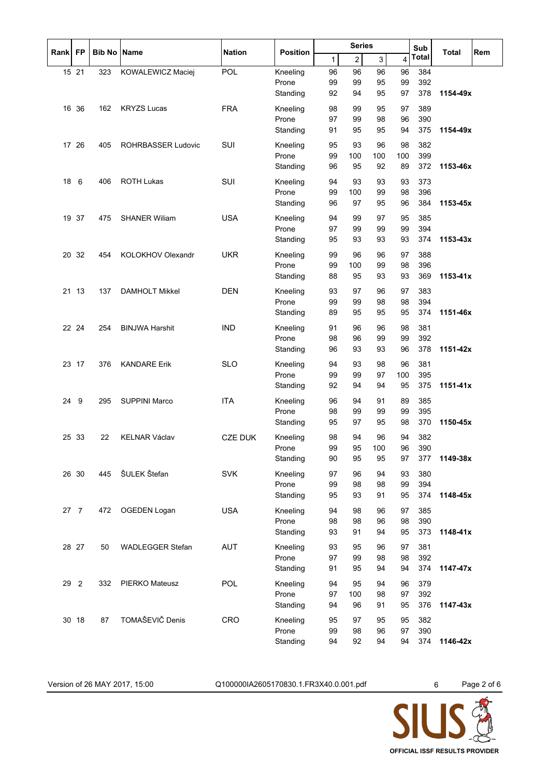|      |                |                    |                           |                |                   | <b>Series</b> |                | Sub            |           |            |          |     |
|------|----------------|--------------------|---------------------------|----------------|-------------------|---------------|----------------|----------------|-----------|------------|----------|-----|
| Rank | <b>FP</b>      | <b>Bib No Name</b> |                           | <b>Nation</b>  | <b>Position</b>   | 1             | $\overline{c}$ | $\overline{3}$ | 4         | Total      | Total    | Rem |
|      | 15 21          | 323                | KOWALEWICZ Maciej         | POL            | Kneeling          | 96            | 96             | 96             | 96        | 384        |          |     |
|      |                |                    |                           |                | Prone             | 99            | 99             | 95             | 99        | 392        |          |     |
|      |                |                    |                           |                | Standing          | 92            | 94             | 95             | 97        | 378        | 1154-49x |     |
|      | 16 36          | 162                | <b>KRYZS Lucas</b>        | <b>FRA</b>     | Kneeling          | 98            | 99             | 95             | 97        | 389        |          |     |
|      |                |                    |                           |                | Prone<br>Standing | 97<br>91      | 99<br>95       | 98<br>95       | 96<br>94  | 390<br>375 | 1154-49x |     |
|      |                |                    |                           |                |                   |               |                |                |           |            |          |     |
|      | 17 26          | 405                | <b>ROHRBASSER Ludovic</b> | SUI            | Kneeling<br>Prone | 95<br>99      | 93<br>100      | 96<br>100      | 98<br>100 | 382<br>399 |          |     |
|      |                |                    |                           |                | Standing          | 96            | 95             | 92             | 89        | 372        | 1153-46x |     |
| 18   | 6              | 406                | <b>ROTH Lukas</b>         | SUI            | Kneeling          | 94            | 93             | 93             | 93        | 373        |          |     |
|      |                |                    |                           |                | Prone             | 99            | 100            | 99             | 98        | 396        |          |     |
|      |                |                    |                           |                | Standing          | 96            | 97             | 95             | 96        | 384        | 1153-45x |     |
|      | 19 37          | 475                | <b>SHANER Willam</b>      | <b>USA</b>     | Kneeling          | 94            | 99             | 97             | 95        | 385        |          |     |
|      |                |                    |                           |                | Prone             | 97            | 99             | 99             | 99        | 394        |          |     |
|      |                |                    |                           |                | Standing          | 95            | 93             | 93             | 93        | 374        | 1153-43x |     |
|      | 20 32          | 454                | <b>KOLOKHOV Olexandr</b>  | <b>UKR</b>     | Kneeling          | 99            | 96             | 96             | 97        | 388        |          |     |
|      |                |                    |                           |                | Prone             | 99            | 100            | 99             | 98        | 396        |          |     |
|      |                |                    |                           |                | Standing          | 88            | 95             | 93             | 93        | 369        | 1153-41x |     |
| 21   | 13             | 137                | <b>DAMHOLT Mikkel</b>     | <b>DEN</b>     | Kneeling          | 93            | 97             | 96             | 97        | 383        |          |     |
|      |                |                    |                           |                | Prone             | 99            | 99             | 98             | 98        | 394        |          |     |
|      |                |                    |                           |                | Standing          | 89            | 95             | 95             | 95        | 374        | 1151-46x |     |
|      | 22 24          | 254                | <b>BINJWA Harshit</b>     | <b>IND</b>     | Kneeling          | 91            | 96             | 96             | 98        | 381        |          |     |
|      |                |                    |                           |                | Prone             | 98            | 96             | 99             | 99        | 392        |          |     |
|      |                |                    |                           |                | Standing          | 96            | 93             | 93             | 96        | 378        | 1151-42x |     |
|      | 23 17          | 376                | <b>KANDARE Erik</b>       | <b>SLO</b>     | Kneeling          | 94            | 93             | 98             | 96        | 381        |          |     |
|      |                |                    |                           |                | Prone             | 99            | 99             | 97             | 100       | 395        |          |     |
|      |                |                    |                           |                | Standing          | 92            | 94             | 94             | 95        | 375        | 1151-41x |     |
| 24   | 9              | 295                | <b>SUPPINI Marco</b>      | <b>ITA</b>     | Kneeling          | 96            | 94             | 91             | 89        | 385        |          |     |
|      |                |                    |                           |                | Prone<br>Standing | 98<br>95      | 99<br>97       | 99<br>95       | 99<br>98  | 395<br>370 | 1150-45x |     |
|      |                |                    |                           |                |                   |               |                |                |           |            |          |     |
|      | 25 33          | 22                 | <b>KELNAR Václav</b>      | <b>CZE DUK</b> | Kneeling          | 98            | 94             | 96             | 94        | 382        |          |     |
|      |                |                    |                           |                | Prone<br>Standing | 99<br>90      | 95<br>95       | 100<br>95      | 96<br>97  | 390<br>377 | 1149-38x |     |
|      |                |                    |                           |                |                   |               |                |                |           |            |          |     |
|      | 26 30          | 445                | ŠULEK Štefan              | <b>SVK</b>     | Kneeling<br>Prone | 97<br>99      | 96<br>98       | 94<br>98       | 93<br>99  | 380<br>394 |          |     |
|      |                |                    |                           |                | Standing          | 95            | 93             | 91             | 95        | 374        | 1148-45x |     |
|      | 27 7           |                    | <b>OGEDEN Logan</b>       | <b>USA</b>     | Kneeling          | 94            | 98             | 96             |           | 385        |          |     |
|      |                | 472                |                           |                | Prone             | 98            | 98             | 96             | 97<br>98  | 390        |          |     |
|      |                |                    |                           |                | Standing          | 93            | 91             | 94             | 95        | 373        | 1148-41x |     |
|      | 28 27          | 50                 | <b>WADLEGGER Stefan</b>   | <b>AUT</b>     | Kneeling          | 93            | 95             | 96             | 97        | 381        |          |     |
|      |                |                    |                           |                | Prone             | 97            | 99             | 98             | 98        | 392        |          |     |
|      |                |                    |                           |                | Standing          | 91            | 95             | 94             | 94        | 374        | 1147-47x |     |
| 29   | $\overline{2}$ | 332                | <b>PIERKO Mateusz</b>     | POL            | Kneeling          | 94            | 95             | 94             | 96        | 379        |          |     |
|      |                |                    |                           |                | Prone             | 97            | 100            | 98             | 97        | 392        |          |     |
|      |                |                    |                           |                | Standing          | 94            | 96             | 91             | 95        | 376        | 1147-43x |     |
|      | 30 18          | 87                 | TOMAŠEVIČ Denis           | CRO            | Kneeling          | 95            | 97             | 95             | 95        | 382        |          |     |
|      |                |                    |                           |                | Prone             | 99            | 98             | 96             | 97        | 390        |          |     |
|      |                |                    |                           |                | Standing          | 94            | 92             | 94             | 94        | 374        | 1146-42x |     |

Version of 26 MAY 2017, 15:00 Q100000IA2605170830.1.FR3X40.0.001.pdf 6 Page 2 of 6

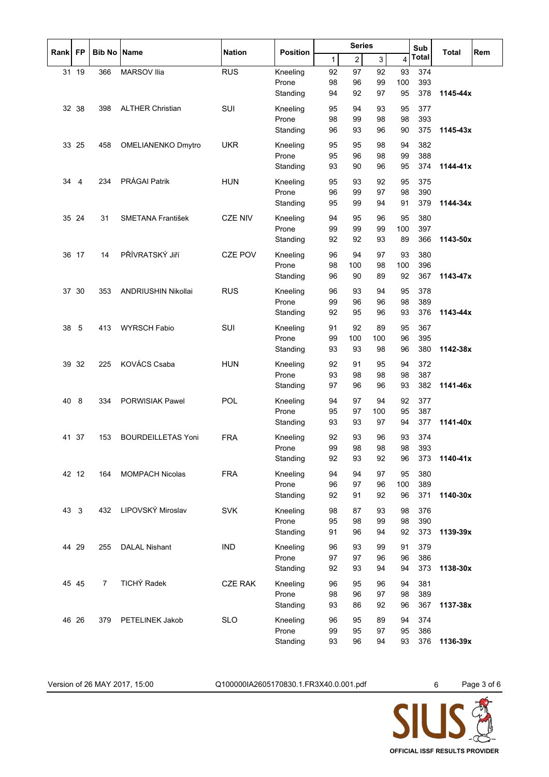| FP<br><b>Bib No Name</b><br><b>Nation</b><br><b>Position</b><br>Rank<br>Total<br>Total<br>$\overline{c}$<br>3<br>$\mathbf{1}$<br>$\overline{4}$<br>31 19<br><b>RUS</b><br>374<br>366<br><b>MARSOV Ilia</b><br>Kneeling<br>92<br>97<br>92<br>93<br>100<br>393<br>98<br>96<br>99<br>Prone<br>Standing<br>94<br>92<br>97<br>95<br>378<br>1145-44x<br>SUI<br>377<br>32<br>38<br><b>ALTHER Christian</b><br>95<br>94<br>93<br>95<br>398<br>Kneeling<br>393<br>Prone<br>98<br>99<br>98<br>98<br>375<br>1145-43x<br>Standing<br>96<br>93<br>96<br>90<br><b>UKR</b><br>33 25<br>458<br>OMELIANENKO Dmytro<br>Kneeling<br>94<br>382<br>95<br>95<br>98<br>388<br>Prone<br>95<br>96<br>98<br>99<br>374<br>Standing<br>93<br>90<br>96<br>95<br>1144-41x<br>PRÁGAI Patrik<br><b>HUN</b><br>92<br>375<br>34<br>4<br>234<br>Kneeling<br>95<br>93<br>95<br>Prone<br>96<br>99<br>97<br>98<br>390<br>379<br>1144-34x<br>Standing<br>95<br>99<br>94<br>91<br><b>CZE NIV</b><br>380<br>35 24<br><b>SMETANA František</b><br>95<br>95<br>31<br>Kneeling<br>94<br>96<br>397<br>Prone<br>99<br>99<br>99<br>100<br>366<br>1143-50x<br>Standing<br>92<br>92<br>93<br>89<br>PŘÍVRATSKÝ JIří<br>36 17<br><b>CZE POV</b><br>94<br>93<br>380<br>14<br>Kneeling<br>96<br>97<br>Prone<br>98<br>100<br>98<br>100<br>396<br>Standing<br>90<br>89<br>92<br>367<br>1143-47x<br>96<br><b>RUS</b><br>30<br>Kneeling<br>93<br>94<br>95<br>378<br>37<br>353<br>ANDRIUSHIN Nikollai<br>96<br>Prone<br>99<br>96<br>96<br>98<br>389<br>376<br>Standing<br>92<br>95<br>96<br>93<br>1143-44x<br>5<br><b>WYRSCH Fabio</b><br>SUI<br>38<br>413<br>92<br>367<br>Kneeling<br>91<br>89<br>95<br>395<br>Prone<br>99<br>100<br>100<br>96<br>380<br>1142-38x<br>Standing<br>93<br>93<br>98<br>96<br><b>KOVÁCS Csaba</b><br>32<br><b>HUN</b><br>92<br>91<br>95<br>94<br>372<br>39<br>225<br>Kneeling<br>Prone<br>93<br>98<br>98<br>387<br>98<br>382<br>1141-46x<br>Standing<br>97<br>96<br>96<br>93<br><b>POL</b><br>8<br><b>PORWISIAK Pawel</b><br>Kneeling<br>377<br>40<br>334<br>94<br>97<br>94<br>92<br>387<br>Prone<br>95<br>97<br>100<br>95<br>377<br>Standing<br>93<br>93<br>97<br>94<br>1141-40x<br><b>BOURDEILLETAS Yoni</b><br><b>FRA</b><br>41 37<br>153<br>Kneeling<br>92<br>93<br>96<br>93<br>374<br>98<br>98<br>393<br>99<br>98<br>Prone<br>Standing<br>92<br>92<br>373<br>1140-41x<br>93<br>96<br><b>FRA</b><br>380<br>42 12<br>Kneeling<br>94<br>94<br>97<br>95<br><b>MOMPACH Nicolas</b><br>164<br>Prone<br>96<br>97<br>96<br>100<br>389<br>Standing<br>371<br>92<br>91<br>92<br>96<br>1140-30x<br>LIPOVSKÝ Miroslav<br><b>SVK</b><br>43<br>3<br>Kneeling<br>376<br>432<br>98<br>87<br>93<br>98<br>390<br>Prone<br>95<br>98<br>99<br>98<br>373<br>1139-39x<br>Standing<br>91<br>96<br>94<br>92<br>44 29<br><b>DALAL Nishant</b><br><b>IND</b><br>255<br>Kneeling<br>96<br>93<br>99<br>91<br>379<br>Prone<br>97<br>97<br>96<br>96<br>386<br>373<br>1138-30x<br>Standing<br>92<br>93<br>94<br>94<br><b>TICHÝ Radek</b><br>45 45<br><b>CZE RAK</b><br>$\overline{7}$<br>Kneeling<br>381<br>96<br>95<br>96<br>94<br>389<br>Prone<br>98<br>96<br>97<br>98<br>Standing<br>367<br>93<br>86<br>92<br>96<br>1137-38x<br>46 26<br><b>SLO</b><br>Kneeling<br>374<br>379<br>PETELINEK Jakob<br>96<br>95<br>89<br>94<br>Prone<br>99<br>95<br>386<br>97<br>95<br>93<br>93<br>376<br>1136-39x<br>Standing<br>96<br>94 |  |  |  | <b>Series</b> |  |  | Sub | Rem |
|--------------------------------------------------------------------------------------------------------------------------------------------------------------------------------------------------------------------------------------------------------------------------------------------------------------------------------------------------------------------------------------------------------------------------------------------------------------------------------------------------------------------------------------------------------------------------------------------------------------------------------------------------------------------------------------------------------------------------------------------------------------------------------------------------------------------------------------------------------------------------------------------------------------------------------------------------------------------------------------------------------------------------------------------------------------------------------------------------------------------------------------------------------------------------------------------------------------------------------------------------------------------------------------------------------------------------------------------------------------------------------------------------------------------------------------------------------------------------------------------------------------------------------------------------------------------------------------------------------------------------------------------------------------------------------------------------------------------------------------------------------------------------------------------------------------------------------------------------------------------------------------------------------------------------------------------------------------------------------------------------------------------------------------------------------------------------------------------------------------------------------------------------------------------------------------------------------------------------------------------------------------------------------------------------------------------------------------------------------------------------------------------------------------------------------------------------------------------------------------------------------------------------------------------------------------------------------------------------------------------------------------------------------------------------------------------------------------------------------------------------------------------------------------------------------------------------------------------------------------------------------------------------------------------------------------------------------------------------------------------------------------------------------------------------------------------------------------------------------------------------------------------------------------------------------------------------------------------------------------------------------------------------------------------------------------------------------------------------------------------|--|--|--|---------------|--|--|-----|-----|
|                                                                                                                                                                                                                                                                                                                                                                                                                                                                                                                                                                                                                                                                                                                                                                                                                                                                                                                                                                                                                                                                                                                                                                                                                                                                                                                                                                                                                                                                                                                                                                                                                                                                                                                                                                                                                                                                                                                                                                                                                                                                                                                                                                                                                                                                                                                                                                                                                                                                                                                                                                                                                                                                                                                                                                                                                                                                                                                                                                                                                                                                                                                                                                                                                                                                                                                                                                    |  |  |  |               |  |  |     |     |
|                                                                                                                                                                                                                                                                                                                                                                                                                                                                                                                                                                                                                                                                                                                                                                                                                                                                                                                                                                                                                                                                                                                                                                                                                                                                                                                                                                                                                                                                                                                                                                                                                                                                                                                                                                                                                                                                                                                                                                                                                                                                                                                                                                                                                                                                                                                                                                                                                                                                                                                                                                                                                                                                                                                                                                                                                                                                                                                                                                                                                                                                                                                                                                                                                                                                                                                                                                    |  |  |  |               |  |  |     |     |
|                                                                                                                                                                                                                                                                                                                                                                                                                                                                                                                                                                                                                                                                                                                                                                                                                                                                                                                                                                                                                                                                                                                                                                                                                                                                                                                                                                                                                                                                                                                                                                                                                                                                                                                                                                                                                                                                                                                                                                                                                                                                                                                                                                                                                                                                                                                                                                                                                                                                                                                                                                                                                                                                                                                                                                                                                                                                                                                                                                                                                                                                                                                                                                                                                                                                                                                                                                    |  |  |  |               |  |  |     |     |
|                                                                                                                                                                                                                                                                                                                                                                                                                                                                                                                                                                                                                                                                                                                                                                                                                                                                                                                                                                                                                                                                                                                                                                                                                                                                                                                                                                                                                                                                                                                                                                                                                                                                                                                                                                                                                                                                                                                                                                                                                                                                                                                                                                                                                                                                                                                                                                                                                                                                                                                                                                                                                                                                                                                                                                                                                                                                                                                                                                                                                                                                                                                                                                                                                                                                                                                                                                    |  |  |  |               |  |  |     |     |
|                                                                                                                                                                                                                                                                                                                                                                                                                                                                                                                                                                                                                                                                                                                                                                                                                                                                                                                                                                                                                                                                                                                                                                                                                                                                                                                                                                                                                                                                                                                                                                                                                                                                                                                                                                                                                                                                                                                                                                                                                                                                                                                                                                                                                                                                                                                                                                                                                                                                                                                                                                                                                                                                                                                                                                                                                                                                                                                                                                                                                                                                                                                                                                                                                                                                                                                                                                    |  |  |  |               |  |  |     |     |
|                                                                                                                                                                                                                                                                                                                                                                                                                                                                                                                                                                                                                                                                                                                                                                                                                                                                                                                                                                                                                                                                                                                                                                                                                                                                                                                                                                                                                                                                                                                                                                                                                                                                                                                                                                                                                                                                                                                                                                                                                                                                                                                                                                                                                                                                                                                                                                                                                                                                                                                                                                                                                                                                                                                                                                                                                                                                                                                                                                                                                                                                                                                                                                                                                                                                                                                                                                    |  |  |  |               |  |  |     |     |
|                                                                                                                                                                                                                                                                                                                                                                                                                                                                                                                                                                                                                                                                                                                                                                                                                                                                                                                                                                                                                                                                                                                                                                                                                                                                                                                                                                                                                                                                                                                                                                                                                                                                                                                                                                                                                                                                                                                                                                                                                                                                                                                                                                                                                                                                                                                                                                                                                                                                                                                                                                                                                                                                                                                                                                                                                                                                                                                                                                                                                                                                                                                                                                                                                                                                                                                                                                    |  |  |  |               |  |  |     |     |
|                                                                                                                                                                                                                                                                                                                                                                                                                                                                                                                                                                                                                                                                                                                                                                                                                                                                                                                                                                                                                                                                                                                                                                                                                                                                                                                                                                                                                                                                                                                                                                                                                                                                                                                                                                                                                                                                                                                                                                                                                                                                                                                                                                                                                                                                                                                                                                                                                                                                                                                                                                                                                                                                                                                                                                                                                                                                                                                                                                                                                                                                                                                                                                                                                                                                                                                                                                    |  |  |  |               |  |  |     |     |
|                                                                                                                                                                                                                                                                                                                                                                                                                                                                                                                                                                                                                                                                                                                                                                                                                                                                                                                                                                                                                                                                                                                                                                                                                                                                                                                                                                                                                                                                                                                                                                                                                                                                                                                                                                                                                                                                                                                                                                                                                                                                                                                                                                                                                                                                                                                                                                                                                                                                                                                                                                                                                                                                                                                                                                                                                                                                                                                                                                                                                                                                                                                                                                                                                                                                                                                                                                    |  |  |  |               |  |  |     |     |
|                                                                                                                                                                                                                                                                                                                                                                                                                                                                                                                                                                                                                                                                                                                                                                                                                                                                                                                                                                                                                                                                                                                                                                                                                                                                                                                                                                                                                                                                                                                                                                                                                                                                                                                                                                                                                                                                                                                                                                                                                                                                                                                                                                                                                                                                                                                                                                                                                                                                                                                                                                                                                                                                                                                                                                                                                                                                                                                                                                                                                                                                                                                                                                                                                                                                                                                                                                    |  |  |  |               |  |  |     |     |
|                                                                                                                                                                                                                                                                                                                                                                                                                                                                                                                                                                                                                                                                                                                                                                                                                                                                                                                                                                                                                                                                                                                                                                                                                                                                                                                                                                                                                                                                                                                                                                                                                                                                                                                                                                                                                                                                                                                                                                                                                                                                                                                                                                                                                                                                                                                                                                                                                                                                                                                                                                                                                                                                                                                                                                                                                                                                                                                                                                                                                                                                                                                                                                                                                                                                                                                                                                    |  |  |  |               |  |  |     |     |
|                                                                                                                                                                                                                                                                                                                                                                                                                                                                                                                                                                                                                                                                                                                                                                                                                                                                                                                                                                                                                                                                                                                                                                                                                                                                                                                                                                                                                                                                                                                                                                                                                                                                                                                                                                                                                                                                                                                                                                                                                                                                                                                                                                                                                                                                                                                                                                                                                                                                                                                                                                                                                                                                                                                                                                                                                                                                                                                                                                                                                                                                                                                                                                                                                                                                                                                                                                    |  |  |  |               |  |  |     |     |
|                                                                                                                                                                                                                                                                                                                                                                                                                                                                                                                                                                                                                                                                                                                                                                                                                                                                                                                                                                                                                                                                                                                                                                                                                                                                                                                                                                                                                                                                                                                                                                                                                                                                                                                                                                                                                                                                                                                                                                                                                                                                                                                                                                                                                                                                                                                                                                                                                                                                                                                                                                                                                                                                                                                                                                                                                                                                                                                                                                                                                                                                                                                                                                                                                                                                                                                                                                    |  |  |  |               |  |  |     |     |
|                                                                                                                                                                                                                                                                                                                                                                                                                                                                                                                                                                                                                                                                                                                                                                                                                                                                                                                                                                                                                                                                                                                                                                                                                                                                                                                                                                                                                                                                                                                                                                                                                                                                                                                                                                                                                                                                                                                                                                                                                                                                                                                                                                                                                                                                                                                                                                                                                                                                                                                                                                                                                                                                                                                                                                                                                                                                                                                                                                                                                                                                                                                                                                                                                                                                                                                                                                    |  |  |  |               |  |  |     |     |
|                                                                                                                                                                                                                                                                                                                                                                                                                                                                                                                                                                                                                                                                                                                                                                                                                                                                                                                                                                                                                                                                                                                                                                                                                                                                                                                                                                                                                                                                                                                                                                                                                                                                                                                                                                                                                                                                                                                                                                                                                                                                                                                                                                                                                                                                                                                                                                                                                                                                                                                                                                                                                                                                                                                                                                                                                                                                                                                                                                                                                                                                                                                                                                                                                                                                                                                                                                    |  |  |  |               |  |  |     |     |
|                                                                                                                                                                                                                                                                                                                                                                                                                                                                                                                                                                                                                                                                                                                                                                                                                                                                                                                                                                                                                                                                                                                                                                                                                                                                                                                                                                                                                                                                                                                                                                                                                                                                                                                                                                                                                                                                                                                                                                                                                                                                                                                                                                                                                                                                                                                                                                                                                                                                                                                                                                                                                                                                                                                                                                                                                                                                                                                                                                                                                                                                                                                                                                                                                                                                                                                                                                    |  |  |  |               |  |  |     |     |
|                                                                                                                                                                                                                                                                                                                                                                                                                                                                                                                                                                                                                                                                                                                                                                                                                                                                                                                                                                                                                                                                                                                                                                                                                                                                                                                                                                                                                                                                                                                                                                                                                                                                                                                                                                                                                                                                                                                                                                                                                                                                                                                                                                                                                                                                                                                                                                                                                                                                                                                                                                                                                                                                                                                                                                                                                                                                                                                                                                                                                                                                                                                                                                                                                                                                                                                                                                    |  |  |  |               |  |  |     |     |
|                                                                                                                                                                                                                                                                                                                                                                                                                                                                                                                                                                                                                                                                                                                                                                                                                                                                                                                                                                                                                                                                                                                                                                                                                                                                                                                                                                                                                                                                                                                                                                                                                                                                                                                                                                                                                                                                                                                                                                                                                                                                                                                                                                                                                                                                                                                                                                                                                                                                                                                                                                                                                                                                                                                                                                                                                                                                                                                                                                                                                                                                                                                                                                                                                                                                                                                                                                    |  |  |  |               |  |  |     |     |
|                                                                                                                                                                                                                                                                                                                                                                                                                                                                                                                                                                                                                                                                                                                                                                                                                                                                                                                                                                                                                                                                                                                                                                                                                                                                                                                                                                                                                                                                                                                                                                                                                                                                                                                                                                                                                                                                                                                                                                                                                                                                                                                                                                                                                                                                                                                                                                                                                                                                                                                                                                                                                                                                                                                                                                                                                                                                                                                                                                                                                                                                                                                                                                                                                                                                                                                                                                    |  |  |  |               |  |  |     |     |
|                                                                                                                                                                                                                                                                                                                                                                                                                                                                                                                                                                                                                                                                                                                                                                                                                                                                                                                                                                                                                                                                                                                                                                                                                                                                                                                                                                                                                                                                                                                                                                                                                                                                                                                                                                                                                                                                                                                                                                                                                                                                                                                                                                                                                                                                                                                                                                                                                                                                                                                                                                                                                                                                                                                                                                                                                                                                                                                                                                                                                                                                                                                                                                                                                                                                                                                                                                    |  |  |  |               |  |  |     |     |
|                                                                                                                                                                                                                                                                                                                                                                                                                                                                                                                                                                                                                                                                                                                                                                                                                                                                                                                                                                                                                                                                                                                                                                                                                                                                                                                                                                                                                                                                                                                                                                                                                                                                                                                                                                                                                                                                                                                                                                                                                                                                                                                                                                                                                                                                                                                                                                                                                                                                                                                                                                                                                                                                                                                                                                                                                                                                                                                                                                                                                                                                                                                                                                                                                                                                                                                                                                    |  |  |  |               |  |  |     |     |
|                                                                                                                                                                                                                                                                                                                                                                                                                                                                                                                                                                                                                                                                                                                                                                                                                                                                                                                                                                                                                                                                                                                                                                                                                                                                                                                                                                                                                                                                                                                                                                                                                                                                                                                                                                                                                                                                                                                                                                                                                                                                                                                                                                                                                                                                                                                                                                                                                                                                                                                                                                                                                                                                                                                                                                                                                                                                                                                                                                                                                                                                                                                                                                                                                                                                                                                                                                    |  |  |  |               |  |  |     |     |
|                                                                                                                                                                                                                                                                                                                                                                                                                                                                                                                                                                                                                                                                                                                                                                                                                                                                                                                                                                                                                                                                                                                                                                                                                                                                                                                                                                                                                                                                                                                                                                                                                                                                                                                                                                                                                                                                                                                                                                                                                                                                                                                                                                                                                                                                                                                                                                                                                                                                                                                                                                                                                                                                                                                                                                                                                                                                                                                                                                                                                                                                                                                                                                                                                                                                                                                                                                    |  |  |  |               |  |  |     |     |
|                                                                                                                                                                                                                                                                                                                                                                                                                                                                                                                                                                                                                                                                                                                                                                                                                                                                                                                                                                                                                                                                                                                                                                                                                                                                                                                                                                                                                                                                                                                                                                                                                                                                                                                                                                                                                                                                                                                                                                                                                                                                                                                                                                                                                                                                                                                                                                                                                                                                                                                                                                                                                                                                                                                                                                                                                                                                                                                                                                                                                                                                                                                                                                                                                                                                                                                                                                    |  |  |  |               |  |  |     |     |
|                                                                                                                                                                                                                                                                                                                                                                                                                                                                                                                                                                                                                                                                                                                                                                                                                                                                                                                                                                                                                                                                                                                                                                                                                                                                                                                                                                                                                                                                                                                                                                                                                                                                                                                                                                                                                                                                                                                                                                                                                                                                                                                                                                                                                                                                                                                                                                                                                                                                                                                                                                                                                                                                                                                                                                                                                                                                                                                                                                                                                                                                                                                                                                                                                                                                                                                                                                    |  |  |  |               |  |  |     |     |
|                                                                                                                                                                                                                                                                                                                                                                                                                                                                                                                                                                                                                                                                                                                                                                                                                                                                                                                                                                                                                                                                                                                                                                                                                                                                                                                                                                                                                                                                                                                                                                                                                                                                                                                                                                                                                                                                                                                                                                                                                                                                                                                                                                                                                                                                                                                                                                                                                                                                                                                                                                                                                                                                                                                                                                                                                                                                                                                                                                                                                                                                                                                                                                                                                                                                                                                                                                    |  |  |  |               |  |  |     |     |
|                                                                                                                                                                                                                                                                                                                                                                                                                                                                                                                                                                                                                                                                                                                                                                                                                                                                                                                                                                                                                                                                                                                                                                                                                                                                                                                                                                                                                                                                                                                                                                                                                                                                                                                                                                                                                                                                                                                                                                                                                                                                                                                                                                                                                                                                                                                                                                                                                                                                                                                                                                                                                                                                                                                                                                                                                                                                                                                                                                                                                                                                                                                                                                                                                                                                                                                                                                    |  |  |  |               |  |  |     |     |
|                                                                                                                                                                                                                                                                                                                                                                                                                                                                                                                                                                                                                                                                                                                                                                                                                                                                                                                                                                                                                                                                                                                                                                                                                                                                                                                                                                                                                                                                                                                                                                                                                                                                                                                                                                                                                                                                                                                                                                                                                                                                                                                                                                                                                                                                                                                                                                                                                                                                                                                                                                                                                                                                                                                                                                                                                                                                                                                                                                                                                                                                                                                                                                                                                                                                                                                                                                    |  |  |  |               |  |  |     |     |
|                                                                                                                                                                                                                                                                                                                                                                                                                                                                                                                                                                                                                                                                                                                                                                                                                                                                                                                                                                                                                                                                                                                                                                                                                                                                                                                                                                                                                                                                                                                                                                                                                                                                                                                                                                                                                                                                                                                                                                                                                                                                                                                                                                                                                                                                                                                                                                                                                                                                                                                                                                                                                                                                                                                                                                                                                                                                                                                                                                                                                                                                                                                                                                                                                                                                                                                                                                    |  |  |  |               |  |  |     |     |
|                                                                                                                                                                                                                                                                                                                                                                                                                                                                                                                                                                                                                                                                                                                                                                                                                                                                                                                                                                                                                                                                                                                                                                                                                                                                                                                                                                                                                                                                                                                                                                                                                                                                                                                                                                                                                                                                                                                                                                                                                                                                                                                                                                                                                                                                                                                                                                                                                                                                                                                                                                                                                                                                                                                                                                                                                                                                                                                                                                                                                                                                                                                                                                                                                                                                                                                                                                    |  |  |  |               |  |  |     |     |
|                                                                                                                                                                                                                                                                                                                                                                                                                                                                                                                                                                                                                                                                                                                                                                                                                                                                                                                                                                                                                                                                                                                                                                                                                                                                                                                                                                                                                                                                                                                                                                                                                                                                                                                                                                                                                                                                                                                                                                                                                                                                                                                                                                                                                                                                                                                                                                                                                                                                                                                                                                                                                                                                                                                                                                                                                                                                                                                                                                                                                                                                                                                                                                                                                                                                                                                                                                    |  |  |  |               |  |  |     |     |
|                                                                                                                                                                                                                                                                                                                                                                                                                                                                                                                                                                                                                                                                                                                                                                                                                                                                                                                                                                                                                                                                                                                                                                                                                                                                                                                                                                                                                                                                                                                                                                                                                                                                                                                                                                                                                                                                                                                                                                                                                                                                                                                                                                                                                                                                                                                                                                                                                                                                                                                                                                                                                                                                                                                                                                                                                                                                                                                                                                                                                                                                                                                                                                                                                                                                                                                                                                    |  |  |  |               |  |  |     |     |
|                                                                                                                                                                                                                                                                                                                                                                                                                                                                                                                                                                                                                                                                                                                                                                                                                                                                                                                                                                                                                                                                                                                                                                                                                                                                                                                                                                                                                                                                                                                                                                                                                                                                                                                                                                                                                                                                                                                                                                                                                                                                                                                                                                                                                                                                                                                                                                                                                                                                                                                                                                                                                                                                                                                                                                                                                                                                                                                                                                                                                                                                                                                                                                                                                                                                                                                                                                    |  |  |  |               |  |  |     |     |
|                                                                                                                                                                                                                                                                                                                                                                                                                                                                                                                                                                                                                                                                                                                                                                                                                                                                                                                                                                                                                                                                                                                                                                                                                                                                                                                                                                                                                                                                                                                                                                                                                                                                                                                                                                                                                                                                                                                                                                                                                                                                                                                                                                                                                                                                                                                                                                                                                                                                                                                                                                                                                                                                                                                                                                                                                                                                                                                                                                                                                                                                                                                                                                                                                                                                                                                                                                    |  |  |  |               |  |  |     |     |
|                                                                                                                                                                                                                                                                                                                                                                                                                                                                                                                                                                                                                                                                                                                                                                                                                                                                                                                                                                                                                                                                                                                                                                                                                                                                                                                                                                                                                                                                                                                                                                                                                                                                                                                                                                                                                                                                                                                                                                                                                                                                                                                                                                                                                                                                                                                                                                                                                                                                                                                                                                                                                                                                                                                                                                                                                                                                                                                                                                                                                                                                                                                                                                                                                                                                                                                                                                    |  |  |  |               |  |  |     |     |
|                                                                                                                                                                                                                                                                                                                                                                                                                                                                                                                                                                                                                                                                                                                                                                                                                                                                                                                                                                                                                                                                                                                                                                                                                                                                                                                                                                                                                                                                                                                                                                                                                                                                                                                                                                                                                                                                                                                                                                                                                                                                                                                                                                                                                                                                                                                                                                                                                                                                                                                                                                                                                                                                                                                                                                                                                                                                                                                                                                                                                                                                                                                                                                                                                                                                                                                                                                    |  |  |  |               |  |  |     |     |
|                                                                                                                                                                                                                                                                                                                                                                                                                                                                                                                                                                                                                                                                                                                                                                                                                                                                                                                                                                                                                                                                                                                                                                                                                                                                                                                                                                                                                                                                                                                                                                                                                                                                                                                                                                                                                                                                                                                                                                                                                                                                                                                                                                                                                                                                                                                                                                                                                                                                                                                                                                                                                                                                                                                                                                                                                                                                                                                                                                                                                                                                                                                                                                                                                                                                                                                                                                    |  |  |  |               |  |  |     |     |
|                                                                                                                                                                                                                                                                                                                                                                                                                                                                                                                                                                                                                                                                                                                                                                                                                                                                                                                                                                                                                                                                                                                                                                                                                                                                                                                                                                                                                                                                                                                                                                                                                                                                                                                                                                                                                                                                                                                                                                                                                                                                                                                                                                                                                                                                                                                                                                                                                                                                                                                                                                                                                                                                                                                                                                                                                                                                                                                                                                                                                                                                                                                                                                                                                                                                                                                                                                    |  |  |  |               |  |  |     |     |
|                                                                                                                                                                                                                                                                                                                                                                                                                                                                                                                                                                                                                                                                                                                                                                                                                                                                                                                                                                                                                                                                                                                                                                                                                                                                                                                                                                                                                                                                                                                                                                                                                                                                                                                                                                                                                                                                                                                                                                                                                                                                                                                                                                                                                                                                                                                                                                                                                                                                                                                                                                                                                                                                                                                                                                                                                                                                                                                                                                                                                                                                                                                                                                                                                                                                                                                                                                    |  |  |  |               |  |  |     |     |
|                                                                                                                                                                                                                                                                                                                                                                                                                                                                                                                                                                                                                                                                                                                                                                                                                                                                                                                                                                                                                                                                                                                                                                                                                                                                                                                                                                                                                                                                                                                                                                                                                                                                                                                                                                                                                                                                                                                                                                                                                                                                                                                                                                                                                                                                                                                                                                                                                                                                                                                                                                                                                                                                                                                                                                                                                                                                                                                                                                                                                                                                                                                                                                                                                                                                                                                                                                    |  |  |  |               |  |  |     |     |
|                                                                                                                                                                                                                                                                                                                                                                                                                                                                                                                                                                                                                                                                                                                                                                                                                                                                                                                                                                                                                                                                                                                                                                                                                                                                                                                                                                                                                                                                                                                                                                                                                                                                                                                                                                                                                                                                                                                                                                                                                                                                                                                                                                                                                                                                                                                                                                                                                                                                                                                                                                                                                                                                                                                                                                                                                                                                                                                                                                                                                                                                                                                                                                                                                                                                                                                                                                    |  |  |  |               |  |  |     |     |
|                                                                                                                                                                                                                                                                                                                                                                                                                                                                                                                                                                                                                                                                                                                                                                                                                                                                                                                                                                                                                                                                                                                                                                                                                                                                                                                                                                                                                                                                                                                                                                                                                                                                                                                                                                                                                                                                                                                                                                                                                                                                                                                                                                                                                                                                                                                                                                                                                                                                                                                                                                                                                                                                                                                                                                                                                                                                                                                                                                                                                                                                                                                                                                                                                                                                                                                                                                    |  |  |  |               |  |  |     |     |
|                                                                                                                                                                                                                                                                                                                                                                                                                                                                                                                                                                                                                                                                                                                                                                                                                                                                                                                                                                                                                                                                                                                                                                                                                                                                                                                                                                                                                                                                                                                                                                                                                                                                                                                                                                                                                                                                                                                                                                                                                                                                                                                                                                                                                                                                                                                                                                                                                                                                                                                                                                                                                                                                                                                                                                                                                                                                                                                                                                                                                                                                                                                                                                                                                                                                                                                                                                    |  |  |  |               |  |  |     |     |
|                                                                                                                                                                                                                                                                                                                                                                                                                                                                                                                                                                                                                                                                                                                                                                                                                                                                                                                                                                                                                                                                                                                                                                                                                                                                                                                                                                                                                                                                                                                                                                                                                                                                                                                                                                                                                                                                                                                                                                                                                                                                                                                                                                                                                                                                                                                                                                                                                                                                                                                                                                                                                                                                                                                                                                                                                                                                                                                                                                                                                                                                                                                                                                                                                                                                                                                                                                    |  |  |  |               |  |  |     |     |
|                                                                                                                                                                                                                                                                                                                                                                                                                                                                                                                                                                                                                                                                                                                                                                                                                                                                                                                                                                                                                                                                                                                                                                                                                                                                                                                                                                                                                                                                                                                                                                                                                                                                                                                                                                                                                                                                                                                                                                                                                                                                                                                                                                                                                                                                                                                                                                                                                                                                                                                                                                                                                                                                                                                                                                                                                                                                                                                                                                                                                                                                                                                                                                                                                                                                                                                                                                    |  |  |  |               |  |  |     |     |
|                                                                                                                                                                                                                                                                                                                                                                                                                                                                                                                                                                                                                                                                                                                                                                                                                                                                                                                                                                                                                                                                                                                                                                                                                                                                                                                                                                                                                                                                                                                                                                                                                                                                                                                                                                                                                                                                                                                                                                                                                                                                                                                                                                                                                                                                                                                                                                                                                                                                                                                                                                                                                                                                                                                                                                                                                                                                                                                                                                                                                                                                                                                                                                                                                                                                                                                                                                    |  |  |  |               |  |  |     |     |
|                                                                                                                                                                                                                                                                                                                                                                                                                                                                                                                                                                                                                                                                                                                                                                                                                                                                                                                                                                                                                                                                                                                                                                                                                                                                                                                                                                                                                                                                                                                                                                                                                                                                                                                                                                                                                                                                                                                                                                                                                                                                                                                                                                                                                                                                                                                                                                                                                                                                                                                                                                                                                                                                                                                                                                                                                                                                                                                                                                                                                                                                                                                                                                                                                                                                                                                                                                    |  |  |  |               |  |  |     |     |
|                                                                                                                                                                                                                                                                                                                                                                                                                                                                                                                                                                                                                                                                                                                                                                                                                                                                                                                                                                                                                                                                                                                                                                                                                                                                                                                                                                                                                                                                                                                                                                                                                                                                                                                                                                                                                                                                                                                                                                                                                                                                                                                                                                                                                                                                                                                                                                                                                                                                                                                                                                                                                                                                                                                                                                                                                                                                                                                                                                                                                                                                                                                                                                                                                                                                                                                                                                    |  |  |  |               |  |  |     |     |
|                                                                                                                                                                                                                                                                                                                                                                                                                                                                                                                                                                                                                                                                                                                                                                                                                                                                                                                                                                                                                                                                                                                                                                                                                                                                                                                                                                                                                                                                                                                                                                                                                                                                                                                                                                                                                                                                                                                                                                                                                                                                                                                                                                                                                                                                                                                                                                                                                                                                                                                                                                                                                                                                                                                                                                                                                                                                                                                                                                                                                                                                                                                                                                                                                                                                                                                                                                    |  |  |  |               |  |  |     |     |

Version of 26 MAY 2017, 15:00 Q100000IA2605170830.1.FR3X40.0.001.pdf 6 Page 3 of 6

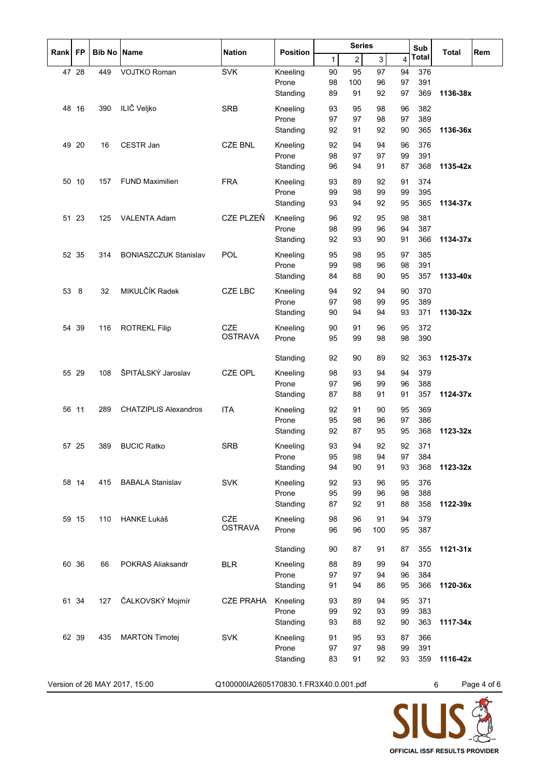|             |           |                    |                              |                              | <b>Series</b><br>Sub |          |                |          |          |              |          |                                              |
|-------------|-----------|--------------------|------------------------------|------------------------------|----------------------|----------|----------------|----------|----------|--------------|----------|----------------------------------------------|
| <b>Rank</b> | <b>FP</b> | <b>Bib No Name</b> |                              | <b>Nation</b>                | <b>Position</b>      | 1        | $\overline{c}$ | 3        | 4        | <b>Total</b> | Total    | Rem                                          |
|             | 47 28     | 449                | <b>VOJTKO Roman</b>          | <b>SVK</b>                   | Kneeling             | 90       | 95             | 97       | 94       | 376          |          |                                              |
|             |           |                    |                              |                              | Prone                | 98       | 100            | 96       | 97       | 391          |          |                                              |
|             |           |                    |                              |                              | Standing             | 89       | 91             | 92       | 97       | 369          | 1136-38x |                                              |
| 48          | 16        | 390                | ILIČ Veljko                  | <b>SRB</b>                   | Kneeling             | 93       | 95             | 98       | 96       | 382          |          |                                              |
|             |           |                    |                              |                              | Prone                | 97       | 97             | 98       | 97       | 389          |          |                                              |
|             |           |                    |                              |                              | Standing             | 92       | 91             | 92       | 90       | 365          | 1136-36x |                                              |
|             | 49 20     | 16                 | CESTR Jan                    | <b>CZE BNL</b>               | Kneeling             | 92       | 94             | 94       | 96       | 376          |          |                                              |
|             |           |                    |                              |                              | Prone                | 98       | 97             | 97       | 99       | 391          |          |                                              |
|             |           |                    |                              |                              | Standing             | 96       | 94             | 91       | 87       | 368          | 1135-42x |                                              |
|             | 50 10     | 157                | <b>FUND Maximilien</b>       | <b>FRA</b>                   | Kneeling             | 93       | 89             | 92       | 91       | 374          |          |                                              |
|             |           |                    |                              |                              | Prone                | 99       | 98             | 99       | 99       | 395          |          |                                              |
|             |           |                    |                              |                              | Standing             | 93       | 94             | 92       | 95       | 365          | 1134-37x |                                              |
|             | 51 23     | 125                | <b>VALENTA Adam</b>          | <b>CZE PLZEŇ</b>             | Kneeling             | 96       | 92             | 95       | 98       | 381          |          |                                              |
|             |           |                    |                              |                              | Prone                | 98       | 99             | 96       | 94       | 387          |          |                                              |
|             |           |                    |                              |                              | Standing             | 92       | 93             | 90       | 91       | 366          | 1134-37x |                                              |
|             | 52 35     | 314                | <b>BONIASZCZUK Stanislav</b> | POL                          | Kneeling             | 95       | 98             | 95       | 97       | 385          |          |                                              |
|             |           |                    |                              |                              | Prone                | 99       | 98             | 96       | 98       | 391          |          |                                              |
|             |           |                    |                              |                              | Standing             | 84       | 88             | 90       | 95       | 357          | 1133-40x |                                              |
| 53          | 8         | 32                 | MIKULČÍK Radek               | <b>CZE LBC</b>               | Kneeling             | 94       | 92             | 94       | 90       | 370          |          |                                              |
|             |           |                    |                              |                              | Prone                | 97       | 98             | 99       | 95       | 389          |          |                                              |
|             |           |                    |                              |                              | Standing             | 90       | 94             | 94       | 93       | 371          | 1130-32x |                                              |
|             |           |                    |                              |                              |                      |          |                |          |          |              |          |                                              |
|             | 54 39     | 116                | <b>ROTREKL Filip</b>         | <b>CZE</b><br><b>OSTRAVA</b> | Kneeling             | 90<br>95 | 91             | 96       | 95<br>98 | 372          |          |                                              |
|             |           |                    |                              |                              | Prone                |          | 99             | 98       |          | 390          |          |                                              |
|             |           |                    |                              |                              | Standing             | 92       | 90             | 89       | 92       | 363          | 1125-37x |                                              |
|             | 55 29     | 108                | ŠPITÁLSKÝ Jaroslav           | <b>CZE OPL</b>               | Kneeling             | 98       | 93             | 94       | 94       | 379          |          |                                              |
|             |           |                    |                              |                              | Prone                | 97       | 96             | 99       | 96       | 388          |          |                                              |
|             |           |                    |                              |                              | Standing             | 87       | 88             | 91       | 91       | 357          | 1124-37x |                                              |
|             | 56 11     | 289                | <b>CHATZIPLIS Alexandros</b> | <b>ITA</b>                   |                      |          | 91             | 90       | 95       | 369          |          |                                              |
|             |           |                    |                              |                              | Kneeling<br>Prone    | 92<br>95 | 98             | 96       | 97       | 386          |          |                                              |
|             |           |                    |                              |                              | Standing             | 92       | 87             | 95       | 95       | 368          | 1123-32x |                                              |
|             |           |                    |                              |                              |                      |          |                |          |          |              |          |                                              |
|             | 57 25     | 389                | <b>BUCIC Ratko</b>           | <b>SRB</b>                   | Kneeling<br>Prone    | 93<br>95 | 94<br>98       | 92<br>94 | 92<br>97 | 371<br>384   |          |                                              |
|             |           |                    |                              |                              | Standing             | 94       | 90             | 91       | 93       | 368          | 1123-32x |                                              |
|             |           |                    |                              |                              |                      |          |                |          |          |              |          |                                              |
|             | 58 14     | 415                | <b>BABALA Stanislav</b>      | <b>SVK</b>                   | Kneeling             | 92       | 93             | 96       | 95       | 376          |          |                                              |
|             |           |                    |                              |                              | Prone<br>Standing    | 95<br>87 | 99<br>92       | 96<br>91 | 98<br>88 | 388<br>358   | 1122-39x |                                              |
|             |           |                    |                              |                              |                      |          |                |          |          |              |          |                                              |
|             | 59 15     | 110                | <b>HANKE Lukáš</b>           | <b>CZE</b><br><b>OSTRAVA</b> | Kneeling             | 98       | 96             | 91       | 94       | 379          |          |                                              |
|             |           |                    |                              |                              | Prone                | 96       | 96             | 100      | 95       | 387          |          |                                              |
|             |           |                    |                              |                              | Standing             | 90       | 87             | 91       | 87       | 355          | 1121-31x |                                              |
|             | 60 36     | 66                 | <b>POKRAS Aliaksandr</b>     | <b>BLR</b>                   | Kneeling             | 88       | 89             | 99       | 94       | 370          |          |                                              |
|             |           |                    |                              |                              | Prone                | 97       | 97             | 94       | 96       | 384          |          |                                              |
|             |           |                    |                              |                              | Standing             | 91       | 94             | 86       | 95       | 366          | 1120-36x |                                              |
|             |           |                    |                              |                              |                      |          |                |          |          |              |          |                                              |
|             | 61 34     | 127                | ČALKOVSKÝ Mojmír             | <b>CZE PRAHA</b>             | Kneeling<br>Prone    | 93<br>99 | 89<br>92       | 94<br>93 | 95<br>99 | 371<br>383   |          |                                              |
|             |           |                    |                              |                              | Standing             | 93       | 88             | 92       | 90       | 363          | 1117-34x |                                              |
|             |           |                    |                              |                              |                      |          |                |          |          |              |          |                                              |
|             | 62 39     | 435                | <b>MARTON Timotej</b>        | <b>SVK</b>                   | Kneeling             | 91       | 95             | 93       | 87       | 366          |          |                                              |
|             |           |                    |                              |                              | Prone<br>Standing    | 97<br>83 | 97<br>91       | 98<br>92 | 99<br>93 | 391<br>359   | 1116-42x |                                              |
|             |           |                    |                              |                              |                      |          |                |          |          |              |          |                                              |
|             |           |                    | $\frac{1}{\pi}$              | 0.10000010200517092045020000 |                      |          |                |          |          |              |          | $D \cap \cap \cap \cap A \cap A \subseteq C$ |

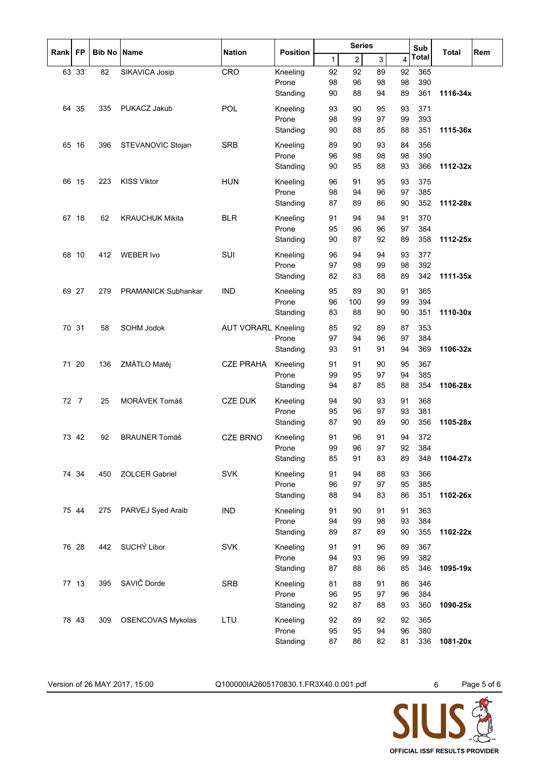|      |                |                    |                            |                            |                   | <b>Series</b> |                |                |                | Sub          | Total    |     |
|------|----------------|--------------------|----------------------------|----------------------------|-------------------|---------------|----------------|----------------|----------------|--------------|----------|-----|
| Rank | <b>FP</b>      | <b>Bib No Name</b> |                            | <b>Nation</b>              | <b>Position</b>   | 1             | $\overline{c}$ | $\overline{3}$ | $\overline{4}$ | <b>Total</b> |          | Rem |
|      | 63 33          | 82                 | SIKAVICA Josip             | CRO                        | Kneeling          | 92            | 92             | 89             | 92             | 365          |          |     |
|      |                |                    |                            |                            | Prone             | 98            | 96             | 98             | 98             | 390          |          |     |
|      |                |                    |                            |                            | Standing          | 90            | 88             | 94             | 89             | 361          | 1116-34x |     |
| 64   | 35             | 335                | PUKACZ Jakub               | POL                        | Kneeling          | 93            | 90             | 95             | 93             | 371          |          |     |
|      |                |                    |                            |                            | Prone             | 98            | 99             | 97             | 99             | 393          |          |     |
|      |                |                    |                            |                            | Standing          | 90            | 88             | 85             | 88             | 351          | 1115-36x |     |
|      | 65 16          | 396                | STEVANOVIC Stojan          | <b>SRB</b>                 | Kneeling          | 89            | 90             | 93             | 84             | 356          |          |     |
|      |                |                    |                            |                            | Prone             | 96            | 98             | 98             | 98             | 390          |          |     |
|      |                |                    |                            |                            | Standing          | 90            | 95             | 88             | 93             | 366          | 1112-32x |     |
|      | 66 15          | 223                | <b>KISS Viktor</b>         | <b>HUN</b>                 | Kneeling          | 96            | 91             | 95             | 93             | 375          |          |     |
|      |                |                    |                            |                            | Prone             | 98            | 94             | 96             | 97             | 385          |          |     |
|      |                |                    |                            |                            | Standing          | 87            | 89             | 86             | 90             | 352          | 1112-28x |     |
|      | 67 18          | 62                 | <b>KRAUCHUK Mikita</b>     | <b>BLR</b>                 | Kneeling          | 91            | 94             | 94             | 91             | 370          |          |     |
|      |                |                    |                            |                            | Prone             | 95            | 96             | 96             | 97             | 384          |          |     |
|      |                |                    |                            |                            | Standing          | 90            | 87             | 92             | 89             | 358          | 1112-25x |     |
| 68   | 10             | 412                | <b>WEBER Ivo</b>           | SUI                        | Kneeling          | 96            | 94             | 94             | 93             | 377          |          |     |
|      |                |                    |                            |                            | Prone             | 97            | 98             | 99             | 98             | 392          |          |     |
|      |                |                    |                            |                            | Standing          | 82            | 83             | 88             | 89             | 342          | 1111-35x |     |
|      | 69 27          | 279                | <b>PRAMANICK Subhankar</b> | <b>IND</b>                 | Kneeling          | 95            | 89             | 90             | 91             | 365          |          |     |
|      |                |                    |                            |                            | Prone             | 96            | 100            | 99             | 99             | 394          |          |     |
|      |                |                    |                            |                            | Standing          | 83            | 88             | 90             | 90             | 351          | 1110-30x |     |
|      | 70 31          | 58                 | SOHM Jodok                 | <b>AUT VORARL Kneeling</b> |                   | 85            | 92             | 89             | 87             | 353          |          |     |
|      |                |                    |                            |                            | Prone             | 97            | 94             | 96             | 97             | 384          |          |     |
|      |                |                    |                            |                            | Standing          | 93            | 91             | 91             | 94             | 369          | 1106-32x |     |
| 71   | 20             | 136                | ZMÁTLO Matěj               | <b>CZE PRAHA</b>           | Kneeling          | 91            | 91             | 90             | 95             | 367          |          |     |
|      |                |                    |                            |                            | Prone             | 99            | 95             | 97             | 94             | 385          |          |     |
|      |                |                    |                            |                            | Standing          | 94            | 87             | 85             | 88             | 354          | 1106-28x |     |
| 72   | $\overline{7}$ | 25                 | MORÁVEK Tomáš              | <b>CZE DUK</b>             | Kneeling          | 94            | 90             | 93             | 91             | 368          |          |     |
|      |                |                    |                            |                            | Prone             | 95            | 96             | 97             | 93             | 381          |          |     |
|      |                |                    |                            |                            | Standing          | 87            | 90             | 89             | 90             | 356          | 1105-28x |     |
|      | 73 42          | 92                 | <b>BRAUNER Tomáš</b>       | <b>CZE BRNO</b>            |                   | 91            |                | 91             | 94             | 372          |          |     |
|      |                |                    |                            |                            | Kneeling<br>Prone | 99            | 96<br>96       | 97             | 92             | 384          |          |     |
|      |                |                    |                            |                            | Standing          | 85            | 91             | 83             | 89             | 348          | 1104-27x |     |
|      |                |                    | <b>ZOLCER Gabriel</b>      | <b>SVK</b>                 |                   |               |                |                |                | 366          |          |     |
|      | 74 34          | 450                |                            |                            | Kneeling<br>Prone | 91<br>96      | 94<br>97       | 88<br>97       | 93<br>95       | 385          |          |     |
|      |                |                    |                            |                            | Standing          | 88            | 94             | 83             | 86             | 351          | 1102-26x |     |
|      |                |                    |                            |                            |                   |               |                |                |                |              |          |     |
|      | 75 44          | 275                | PARVEJ Syed Araib          | <b>IND</b>                 | Kneeling<br>Prone | 91<br>94      | 90<br>99       | 91<br>98       | 91<br>93       | 363<br>384   |          |     |
|      |                |                    |                            |                            | Standing          | 89            | 87             | 89             | 90             | 355          | 1102-22x |     |
|      |                |                    |                            |                            |                   |               |                |                |                |              |          |     |
|      | 76 28          | 442                | SUCHÝ Libor                | <b>SVK</b>                 | Kneeling<br>Prone | 91<br>94      | 91<br>93       | 96<br>96       | 89             | 367          |          |     |
|      |                |                    |                            |                            | Standing          | 87            | 88             | 86             | 99<br>85       | 382<br>346   | 1095-19x |     |
|      |                |                    |                            |                            |                   |               |                |                |                |              |          |     |
|      | 77 13          | 395                | SAVIČ Dorde                | <b>SRB</b>                 | Kneeling          | 81            | 88             | 91             | 86             | 346          |          |     |
|      |                |                    |                            |                            | Prone             | 96            | 95             | 97             | 96             | 384          |          |     |
|      |                |                    |                            |                            | Standing          | 92            | 87             | 88             | 93             | 360          | 1090-25x |     |
|      | 78 43          | 309                | <b>OSENCOVAS Mykolas</b>   | LTU                        | Kneeling          | 92            | 89             | 92             | 92             | 365          |          |     |
|      |                |                    |                            |                            | Prone             | 95            | 95             | 94             | 96             | 380          |          |     |
|      |                |                    |                            |                            | Standing          | 87            | 86             | 82             | 81             | 336          | 1081-20x |     |

Version of 26 MAY 2017, 15:00 Q100000IA2605170830.1.FR3X40.0.001.pdf 6 Page 5 of 6